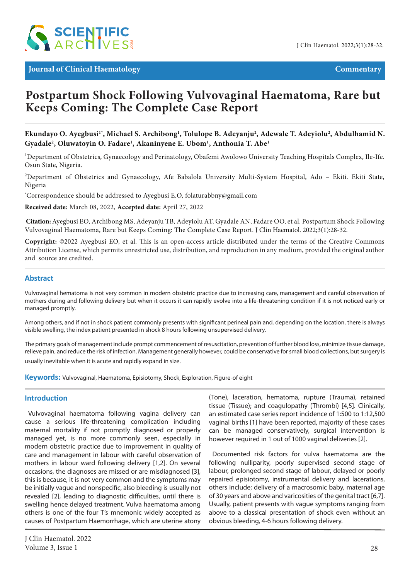

# **Postpartum Shock Following Vulvovaginal Haematoma, Rare but Keeps Coming: The Complete Case Report**

Ekundayo O. Ayegbusi<sup>1</sup>', Michael S. Archibong<sup>1</sup>, Tolulope B. Adeyanju<sup>2</sup>, Adewale T. Adeyiolu<sup>2</sup>, Abdulhamid N. **Gyadale2 , Oluwatoyin O. Fadare1 , Akaninyene E. Ubom1 , Anthonia T. Abe1**

<sup>1</sup>Department of Obstetrics, Gynaecology and Perinatology, Obafemi Awolowo University Teaching Hospitals Complex, Ile-Ife. Osun State, Nigeria.

2 Department of Obstetrics and Gynaecology, Afe Babalola University Multi-System Hospital, Ado – Ekiti. Ekiti State, Nigeria

\* Correspondence should be addressed to Ayegbusi E.O, folaturabbny@gmail.com

**Received date:** March 08, 2022, **Accepted date:** April 27, 2022

**Citation:**Ayegbusi EO, Archibong MS, Adeyanju TB, Adeyiolu AT, Gyadale AN, Fadare OO, et al. Postpartum Shock Following Vulvovaginal Haematoma, Rare but Keeps Coming: The Complete Case Report. J Clin Haematol. 2022;3(1):28-32.

**Copyright:** ©2022 Ayegbusi EO, et al. This is an open-access article distributed under the terms of the Creative Commons Attribution License, which permits unrestricted use, distribution, and reproduction in any medium, provided the original author and source are credited.

## **Abstract**

Vulvovaginal hematoma is not very common in modern obstetric practice due to increasing care, management and careful observation of mothers during and following delivery but when it occurs it can rapidly evolve into a life-threatening condition if it is not noticed early or managed promptly.

Among others, and if not in shock patient commonly presents with significant perineal pain and, depending on the location, there is always visible swelling, the index patient presented in shock 8 hours following unsupervised delivery.

The primary goals of management include prompt commencement of resuscitation, prevention of further blood loss, minimize tissue damage, relieve pain, and reduce the risk of infection. Management generally however, could be conservative for small blood collections, but surgery is usually inevitable when it is acute and rapidly expand in size.

**Keywords:** Vulvovaginal, Haematoma, Episiotomy, Shock, Exploration, Figure-of eight

## **Introduction**

Vulvovaginal haematoma following vagina delivery can cause a serious life-threatening complication including maternal mortality if not promptly diagnosed or properly managed yet, is no more commonly seen, especially in modern obstetric practice due to improvement in quality of care and management in labour with careful observation of mothers in labour ward following delivery [1,2]. On several occasions, the diagnoses are missed or are misdiagnosed [3], this is because, it is not very common and the symptoms may be initially vague and nonspecific, also bleeding is usually not revealed [2], leading to diagnostic difficulties, until there is swelling hence delayed treatment. Vulva haematoma among others is one of the four T's mnemonic widely accepted as causes of Postpartum Haemorrhage, which are uterine atony

(Tone), laceration, hematoma, rupture (Trauma), retained tissue (Tissue); and coagulopathy (Thrombi) [4,5]. Clinically, an estimated case series report incidence of 1:500 to 1:12,500 vaginal births [1] have been reported, majority of these cases can be managed conservatively, surgical intervention is however required in 1 out of 1000 vaginal deliveries [2].

Documented risk factors for vulva haematoma are the following nulliparity, poorly supervised second stage of labour, prolonged second stage of labour, delayed or poorly repaired episiotomy, instrumental delivery and lacerations, others include; delivery of a macrosomic baby, maternal age of 30 years and above and varicosities of the genital tract [6,7]. Usually, patient presents with vague symptoms ranging from above to a classical presentation of shock even without an obvious bleeding, 4-6 hours following delivery.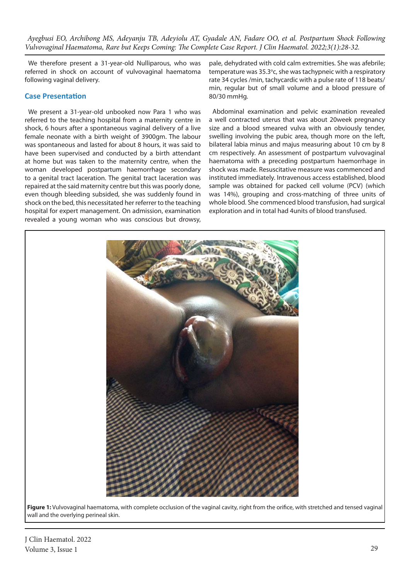*Ayegbusi EO, Archibong MS, Adeyanju TB, Adeyiolu AT, Gyadale AN, Fadare OO, et al. Postpartum Shock Following Vulvovaginal Haematoma, Rare but Keeps Coming: The Complete Case Report. J Clin Haematol. 2022;3(1):28-32.*

We therefore present a 31-year-old Nulliparous, who was referred in shock on account of vulvovaginal haematoma following vaginal delivery.

## **Case Presentation**

We present a 31-year-old unbooked now Para 1 who was referred to the teaching hospital from a maternity centre in shock, 6 hours after a spontaneous vaginal delivery of a live female neonate with a birth weight of 3900gm. The labour was spontaneous and lasted for about 8 hours, it was said to have been supervised and conducted by a birth attendant at home but was taken to the maternity centre, when the woman developed postpartum haemorrhage secondary to a genital tract laceration. The genital tract laceration was repaired at the said maternity centre but this was poorly done, even though bleeding subsided, she was suddenly found in shock on the bed, this necessitated her referrer to the teaching hospital for expert management. On admission, examination revealed a young woman who was conscious but drowsy, pale, dehydrated with cold calm extremities. She was afebrile; temperature was 35.3°c, she was tachypneic with a respiratory rate 34 cycles /min, tachycardic with a pulse rate of 118 beats/ min, regular but of small volume and a blood pressure of 80/30 mmHg.

Abdominal examination and pelvic examination revealed a well contracted uterus that was about 20week pregnancy size and a blood smeared vulva with an obviously tender, swelling involving the pubic area, though more on the left, bilateral labia minus and majus measuring about 10 cm by 8 cm respectively. An assessment of postpartum vulvovaginal haematoma with a preceding postpartum haemorrhage in shock was made. Resuscitative measure was commenced and instituted immediately. Intravenous access established, blood sample was obtained for packed cell volume (PCV) (which was 14%), grouping and cross-matching of three units of whole blood. She commenced blood transfusion, had surgical exploration and in total had 4units of blood transfused.



**Figure 1:** Vulvovaginal haematoma, with complete occlusion of the vaginal cavity, right from the orifice, with stretched and tensed vaginal wall and the overlying perineal skin.

J Clin Haematol. 2022 Volume 3, Issue 1 29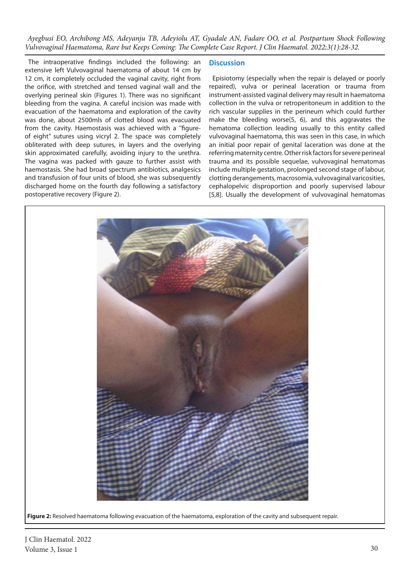*Ayegbusi EO, Archibong MS, Adeyanju TB, Adeyiolu AT, Gyadale AN, Fadare OO, et al. Postpartum Shock Following Vulvovaginal Haematoma, Rare but Keeps Coming: The Complete Case Report. J Clin Haematol. 2022;3(1):28-32.*

The intraoperative findings included the following: an extensive left Vulvovaginal haematoma of about 14 cm by 12 cm, it completely occluded the vaginal cavity, right from the orifice, with stretched and tensed vaginal wall and the overlying perineal skin (Figures 1). There was no significant bleeding from the vagina. A careful incision was made with evacuation of the haematoma and exploration of the cavity was done, about 2500mls of clotted blood was evacuated from the cavity. Haemostasis was achieved with a ''figureof eight" sutures using vicryl 2. The space was completely obliterated with deep sutures, in layers and the overlying skin approximated carefully, avoiding injury to the urethra. The vagina was packed with gauze to further assist with haemostasis. She had broad spectrum antibiotics, analgesics and transfusion of four units of blood, she was subsequently discharged home on the fourth day following a satisfactory postoperative recovery (Figure 2).

## **Discussion**

Episiotomy (especially when the repair is delayed or poorly repaired), vulva or perineal laceration or trauma from instrument-assisted vaginal delivery may result in haematoma collection in the vulva or retroperitoneum in addition to the rich vascular supplies in the perineum which could further make the bleeding worse(5, 6), and this aggravates the hematoma collection leading usually to this entity called vulvovaginal haematoma, this was seen in this case, in which an initial poor repair of genital laceration was done at the referring maternity centre. Other risk factors for severe perineal trauma and its possible sequelae, vulvovaginal hematomas include multiple gestation, prolonged second stage of labour, clotting derangements, macrosomia, vulvovaginal varicosities, cephalopelvic disproportion and poorly supervised labour [5,8]. Usually the development of vulvovaginal hematomas



Figure 2: Resolved haematoma following evacuation of the haematoma, exploration of the cavity and subsequent repair.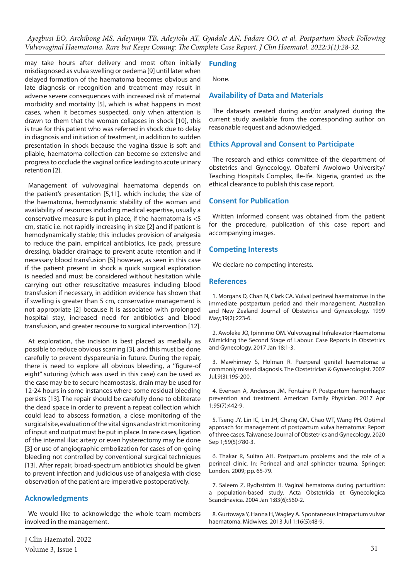*Ayegbusi EO, Archibong MS, Adeyanju TB, Adeyiolu AT, Gyadale AN, Fadare OO, et al. Postpartum Shock Following Vulvovaginal Haematoma, Rare but Keeps Coming: The Complete Case Report. J Clin Haematol. 2022;3(1):28-32.*

may take hours after delivery and most often initially misdiagnosed as vulva swelling or oedema [9] until later when delayed formation of the haematoma becomes obvious and late diagnosis or recognition and treatment may result in adverse severe consequences with increased risk of maternal morbidity and mortality [5], which is what happens in most cases, when it becomes suspected, only when attention is drawn to them that the woman collapses in shock [10], this is true for this patient who was referred in shock due to delay in diagnosis and initiation of treatment, in addition to sudden presentation in shock because the vagina tissue is soft and pliable, haematoma collection can become so extensive and progress to occlude the vaginal orifice leading to acute urinary retention [2].

Management of vulvovaginal haematoma depends on the patient's presentation [5,11], which include; the size of the haematoma, hemodynamic stability of the woman and availability of resources including medical expertise, usually a conservative measure is put in place, if the haematoma is <5 cm, static i.e. not rapidly increasing in size [2] and if patient is hemodynamically stable; this includes provision of analgesia to reduce the pain, empirical antibiotics, ice pack, pressure dressing, bladder drainage to prevent acute retention and if necessary blood transfusion [5] however, as seen in this case if the patient present in shock a quick surgical exploration is needed and must be considered without hesitation while carrying out other resuscitative measures including blood transfusion if necessary, in addition evidence has shown that if swelling is greater than 5 cm, conservative management is not appropriate [2] because it is associated with prolonged hospital stay, increased need for antibiotics and blood transfusion, and greater recourse to surgical intervention [12].

At exploration, the incision is best placed as medially as possible to reduce obvious scarring [3], and this must be done carefully to prevent dyspareunia in future. During the repair, there is need to explore all obvious bleeding, a ''figure-of eight" suturing (which was used in this case) can be used as the case may be to secure heamostasis, drain may be used for 12-24 hours in some instances where some residual bleeding persists [13]. The repair should be carefully done to obliterate the dead space in order to prevent a repeat collection which could lead to abscess formation, a close monitoring of the surgical site, evaluation of the vital signs and a strict monitoring of input and output must be put in place. In rare cases, ligation of the internal iliac artery or even hysterectomy may be done [3] or use of angiographic embolization for cases of on-going bleeding not controlled by conventional surgical techniques [13]. After repair, broad-spectrum antibiotics should be given to prevent infection and judicious use of analgesia with close observation of the patient are imperative postoperatively.

## **Acknowledgments**

We would like to acknowledge the whole team members involved in the management.

J Clin Haematol. 2022 Volume 3, Issue 1  $31$ 

## **Funding**

None.

#### **Availability of Data and Materials**

The datasets created during and/or analyzed during the current study available from the corresponding author on reasonable request and acknowledged.

## **Ethics Approval and Consent to Participate**

The research and ethics committee of the department of obstetrics and Gynecology, Obafemi Awolowo University/ Teaching Hospitals Complex, Ile-Ife. Nigeria, granted us the ethical clearance to publish this case report.

## **Consent for Publication**

Written informed consent was obtained from the patient for the procedure, publication of this case report and accompanying images.

## **Competing Interests**

We declare no competing interests.

#### **References**

1. Morgans D, Chan N, Clark CA. Vulval perineal haematomas in the immediate postpartum period and their management. Australian and New Zealand Journal of Obstetrics and Gynaecology. 1999 May;39(2):223-6.

2. Awoleke JO, Ipinnimo OM. Vulvovaginal Infralevator Haematoma Mimicking the Second Stage of Labour. Case Reports in Obstetrics and Gynecology. 2017 Jan 18;1-3.

3. Mawhinney S, Holman R. Puerperal genital haematoma: a commonly missed diagnosis. The Obstetrician & Gynaecologist. 2007 Jul;9(3):195-200.

4. Evensen A, Anderson JM, Fontaine P. Postpartum hemorrhage: prevention and treatment. American Family Physician. 2017 Apr 1;95(7):442-9.

5. Tseng JY, Lin IC, Lin JH, Chang CM, Chao WT, Wang PH. Optimal approach for management of postpartum vulva hematoma: Report of three cases. Taiwanese Journal of Obstetrics and Gynecology. 2020 Sep 1;59(5):780-3.

6. Thakar R, Sultan AH. Postpartum problems and the role of a perineal clinic. In: Perineal and anal sphincter trauma. Springer: London. 2009; pp. 65-79.

7. Saleem Z, Rydhström H. Vaginal hematoma during parturition: a population-based study. Acta Obstetricia et Gynecologica Scandinavica. 2004 Jan 1;83(6):560-2.

8. Gurtovaya Y, Hanna H, Wagley A. Spontaneous intrapartum vulvar haematoma. Midwives. 2013 Jul 1;16(5):48-9.